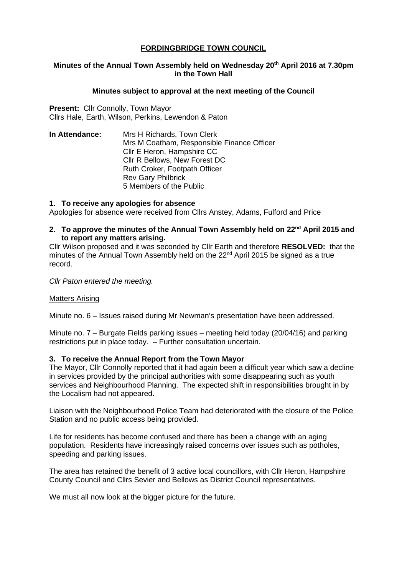# **FORDINGBRIDGE TOWN COUNCIL**

### **Minutes of the Annual Town Assembly held on Wednesday 20th April 2016 at 7.30pm in the Town Hall**

### **Minutes subject to approval at the next meeting of the Council**

Present: Cllr Connolly, Town Mayor Cllrs Hale, Earth, Wilson, Perkins, Lewendon & Paton

**In Attendance:** Mrs H Richards, Town Clerk Mrs M Coatham, Responsible Finance Officer Cllr E Heron, Hampshire CC Cllr R Bellows, New Forest DC Ruth Croker, Footpath Officer Rev Gary Philbrick 5 Members of the Public

#### **1. To receive any apologies for absence**

Apologies for absence were received from Cllrs Anstey, Adams, Fulford and Price

## **2. To approve the minutes of the Annual Town Assembly held on 22nd April 2015 and to report any matters arising.**

Cllr Wilson proposed and it was seconded by Cllr Earth and therefore **RESOLVED:** that the minutes of the Annual Town Assembly held on the  $22<sup>nd</sup>$  April 2015 be signed as a true record.

*Cllr Paton entered the meeting.*

#### Matters Arising

Minute no. 6 – Issues raised during Mr Newman's presentation have been addressed.

Minute no. 7 – Burgate Fields parking issues – meeting held today (20/04/16) and parking restrictions put in place today. – Further consultation uncertain.

## **3. To receive the Annual Report from the Town Mayor**

The Mayor, Cllr Connolly reported that it had again been a difficult year which saw a decline in services provided by the principal authorities with some disappearing such as youth services and Neighbourhood Planning. The expected shift in responsibilities brought in by the Localism had not appeared.

Liaison with the Neighbourhood Police Team had deteriorated with the closure of the Police Station and no public access being provided.

Life for residents has become confused and there has been a change with an aging population. Residents have increasingly raised concerns over issues such as potholes, speeding and parking issues.

The area has retained the benefit of 3 active local councillors, with Cllr Heron, Hampshire County Council and Cllrs Sevier and Bellows as District Council representatives.

We must all now look at the bigger picture for the future.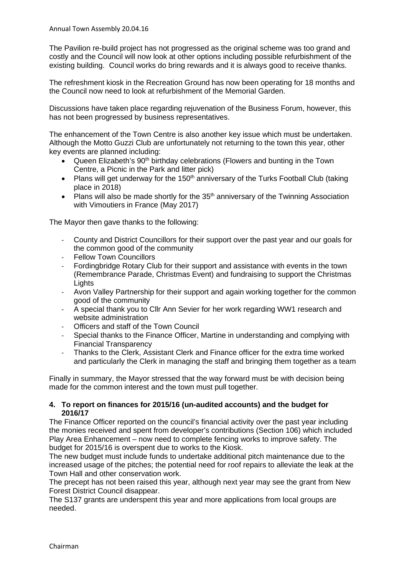The Pavilion re-build project has not progressed as the original scheme was too grand and costly and the Council will now look at other options including possible refurbishment of the existing building. Council works do bring rewards and it is always good to receive thanks.

The refreshment kiosk in the Recreation Ground has now been operating for 18 months and the Council now need to look at refurbishment of the Memorial Garden.

Discussions have taken place regarding rejuvenation of the Business Forum, however, this has not been progressed by business representatives.

The enhancement of the Town Centre is also another key issue which must be undertaken. Although the Motto Guzzi Club are unfortunately not returning to the town this year, other key events are planned including:

- Queen Elizabeth's 90<sup>th</sup> birthday celebrations (Flowers and bunting in the Town Centre, a Picnic in the Park and litter pick)
- Plans will get underway for the 150<sup>th</sup> anniversary of the Turks Football Club (taking place in 2018)
- Plans will also be made shortly for the  $35<sup>th</sup>$  anniversary of the Twinning Association with Vimoutiers in France (May 2017)

The Mayor then gave thanks to the following:

- County and District Councillors for their support over the past year and our goals for the common good of the community
- Fellow Town Councillors
- Fordingbridge Rotary Club for their support and assistance with events in the town (Remembrance Parade, Christmas Event) and fundraising to support the Christmas **Lights**
- Avon Valley Partnership for their support and again working together for the common good of the community
- A special thank you to Cllr Ann Sevier for her work regarding WW1 research and website administration
- Officers and staff of the Town Council
- Special thanks to the Finance Officer, Martine in understanding and complying with Financial Transparency
- Thanks to the Clerk, Assistant Clerk and Finance officer for the extra time worked and particularly the Clerk in managing the staff and bringing them together as a team

Finally in summary, the Mayor stressed that the way forward must be with decision being made for the common interest and the town must pull together.

### **4. To report on finances for 2015/16 (un-audited accounts) and the budget for 2016/17**

The Finance Officer reported on the council's financial activity over the past year including the monies received and spent from developer's contributions (Section 106) which included Play Area Enhancement – now need to complete fencing works to improve safety. The budget for 2015/16 is overspent due to works to the Kiosk.

The new budget must include funds to undertake additional pitch maintenance due to the increased usage of the pitches; the potential need for roof repairs to alleviate the leak at the Town Hall and other conservation work.

The precept has not been raised this year, although next year may see the grant from New Forest District Council disappear.

The S137 grants are underspent this year and more applications from local groups are needed.